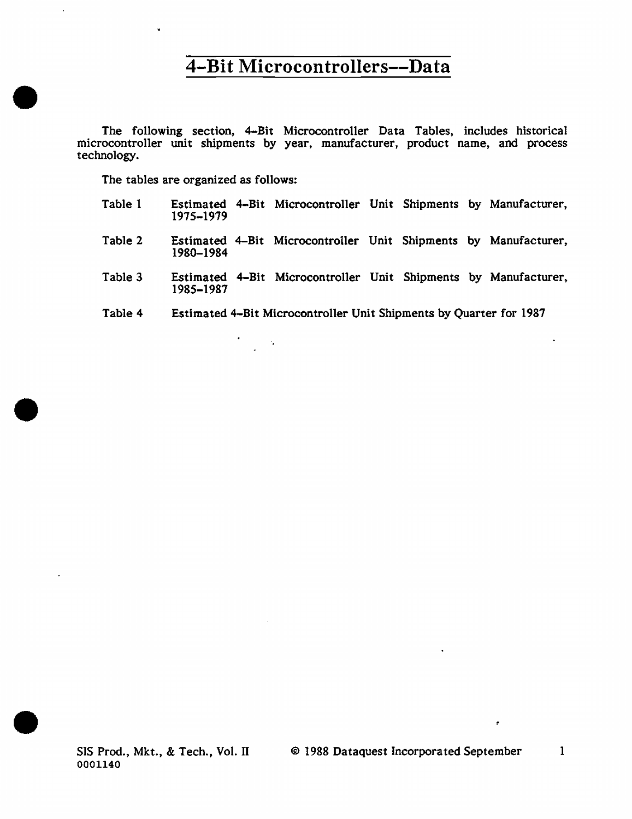The following section, 4-Bit Microcontroller Data Tables, includes historical microcontroller unit shipments by year, manufacturer, product name, and process technology.

The tables are organized as follows:

i.

•

•

•

- Table 1 Estimated 4-Bit Microcontroller Unit Shipments by Manufacturer, 1975-1979
- Table 2 Estimated 4-Bit Microcontroller Unit Shipments by Manufacturer, 1980-1984
- Table 3 Estimated 4-Bit Microcontroller Unit Shipments by Manufacturer, 1985-1987
- Table 4 Estimated 4-Bit Microcontroller Unit Shipments by Quarter for 1987

 $\epsilon_{\rm s}$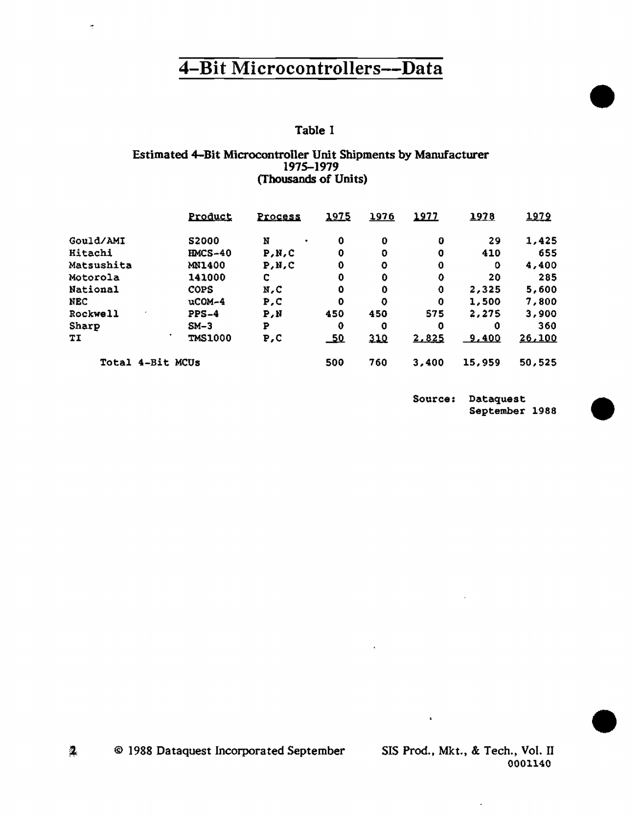## Table 1

### Estimated 4-Bit Microcontroller Unit Shipments by Manufacturer 1975-1979 (Thousands of Units)

|                  | Product        | Process        | 1975       | <u> 1976</u> | 1977     | 1978   | 1979   |
|------------------|----------------|----------------|------------|--------------|----------|--------|--------|
| Gould/AMI        | <b>S2000</b>   | N<br>$\bullet$ | 0          | 0            | $\bf{0}$ | 29     | 1,425  |
| Hitachi          | <b>HMCS-40</b> | P.N.C          | 0          | O            | 0        | 410    | 655    |
| Matsushita       | MN1400         | P.N.C          | 0          | o            | 0        | 0      | 4,400  |
| Motorola         | 141000         | c              | 0          | 0            | 0        | 20     | 285    |
| <b>National</b>  | <b>COPS</b>    | N.C            | 0          | 0            | 0        | 2,325  | 5,600  |
| NEC              | $ucOM-4$       | P.C            | o          | o            | 0        | 1,500  | 7,800  |
| Rockwell         | $PPS-4$        | P.N            | 450        | 450          | 575      | 2.275  | 3,900  |
| Sharp            | $SM-3$         | P              | 0          | 0            | 0        | 0      | 360    |
| TI               | <b>TMS1000</b> | P,C            | <u>_50</u> | 310          | 2,825    | 9.400  | 26,100 |
| Total 4-Bit MCUs |                |                | 500        | 760          | 3,400    | 15,959 | 50,525 |

Source: Dataquest September 1988

 $\mathbf{2}$ © 1988 Dataquest Incorporated September

SIS Prod., Mkt., & Tech., Vol. II 0001140

 $\overline{\phantom{a}}$ 

 $\mathbf{r}$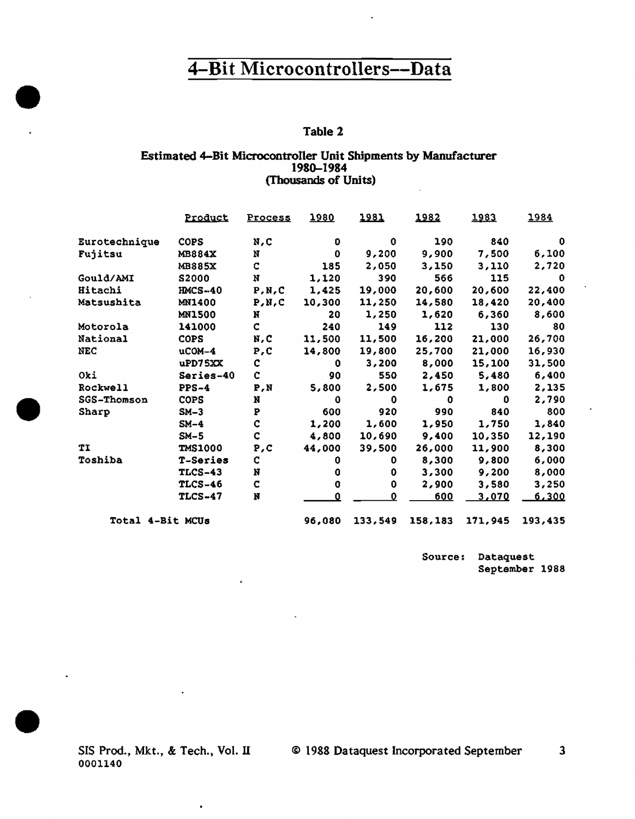### Table 2

### Estimated 4-Bit Microcontroller Unit Shipments by Manufacturer 1980-1984 (Thousands of Units)

|                  | Product         | <b>Process</b> | 1980    | 1981    | 1982         | 1983    | 1984     |
|------------------|-----------------|----------------|---------|---------|--------------|---------|----------|
| Eurotechnique    | <b>COPS</b>     | N,C            | O       | 0       | 190          | 840     | 0        |
| Fujitsu          | <b>MB884X</b>   | N              | 0       | 9,200   | 9,900        | 7,500   | 6,100    |
|                  | <b>MB885X</b>   | C              | 185     | 2,050   | 3,150        | 3,110   | 2,720    |
| Gould/AMI        | S2000           | N              | 1,120   | 390     | 566          | 115     | $\Omega$ |
| Hitachi          | <b>HMCS-40</b>  | P, N, C        | 1,425   | 19,000  | 20,600       | 20,600  | 22,400   |
| Matsushita       | MN1400          | P, N, C        | 10,300  | 11,250  | 14,580       | 18,420  | 20,400   |
|                  | <b>MN1500</b>   | N              | 20      | 1,250   | 1,620        | 6,360   | 8,600    |
| Motorola         | 141000          | C              | 240     | 149     | 112          | 130     | 80       |
| National         | <b>COPS</b>     | N,C            | 11,500  | 11,500  | 16,200       | 21,000  | 26,700   |
| <b>NEC</b>       | $ucon-4$        | P, C           | 14,800  | 19,800  | 25,700       | 21,000  | 16,930   |
|                  | uPD75XX         | c              | 0       | 3,200   | 8,000        | 15,100  | 31,500   |
| Oki              | Series-40       | c              | 90      | 550     | 2,450        | 5,480   | 6,400    |
| Rockwell         | $PPS-4$         | P,N            | 5,800   | 2,500   | 1,675        | 1,800   | 2,135    |
| SGS-Thomson      | <b>COPS</b>     | N              | 0       | 0       | $\mathbf{0}$ | 0       | 2,790    |
| Sharp            | $SM-3$          | P              | 600     | 920     | 990          | 840     | 800      |
|                  | $SM-4$          | $\mathbf C$    | 1,200   | 1,600   | 1,950        | 1,750   | 1,840    |
|                  | $SM-5$          | Ç              | 4,800   | 10,690  | 9,400        | 10,350  | 12,190   |
| TI               | <b>TMS1000</b>  | P, C           | 44,000  | 39,500  | 26,000       | 11,900  | 8,300    |
| Toshiba          | <b>T-Series</b> | $\mathbf c$    | 0       | 0       | 8,300        | 9,800   | 6,000    |
|                  | <b>TLCS-43</b>  | N              | o       | 0       | 3,300        | 9,200   | 8,000    |
|                  | <b>TLCS-46</b>  | c              | 0       | 0       | 2,900        | 3,580   | 3,250    |
|                  | <b>TLCS-47</b>  | N              | n       | 0       | <u>600</u>   | 3,070   | 6,300    |
| Total 4-Bit MCUs |                 | 96.080         | 133.549 | 158,183 | 171,945      | 193,435 |          |

Source: Dataquest September 1988

SIS Prod., Mkt., & Tech., Vol. II 0001140

 $\bullet$ 

 $\Delta$ 

 $\bullet$ 

•

•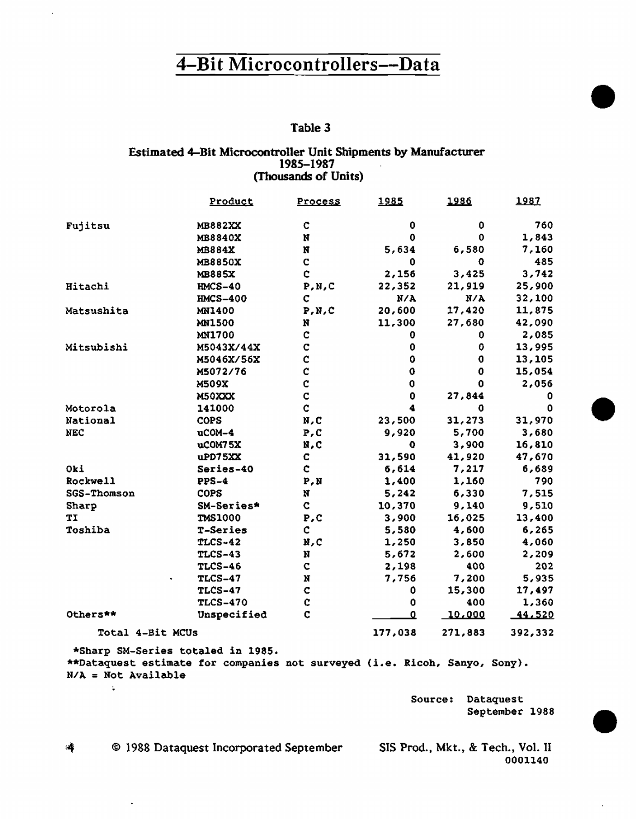$\ddot{\phantom{a}}$ 

## Table 3

#### Estimated 4-Bit Microcontroller Unit Shipments by Manufacturer 1985-1987 (Thousands of Units)

|                       | Product                                                                                                         | Process      | 1985    | 1986        | 1987    |
|-----------------------|-----------------------------------------------------------------------------------------------------------------|--------------|---------|-------------|---------|
| Fujitsu               | <b>MB882XX</b>                                                                                                  | c            | 0       | 0           | 760     |
|                       | MB8840X                                                                                                         | N            | 0       | 0           | 1,843   |
|                       | <b>MB884X</b>                                                                                                   | N            | 5,634   | 6,580       | 7,160   |
|                       | <b>MB8850X</b>                                                                                                  | $\mathbf C$  | 0       | 0           | 485     |
|                       | <b>MB885X</b>                                                                                                   | Ċ            | 2,156   | 3,425       | 3,742   |
| Hitachi               | $HMCS-40$                                                                                                       | P, N, C      | 22,352  | 21,919      | 25,900  |
|                       | <b>HMCS-400</b>                                                                                                 | c            | N/A     | N/A         | 32,100  |
| Matsushita            | <b>MN1400</b>                                                                                                   | P, N, C      | 20,600  | 17,420      | 11,875  |
|                       | <b>MN1500</b>                                                                                                   | N            | 11,300  | 27,680      | 42,090  |
|                       | <b>MN1700</b>                                                                                                   | Ċ            | 0       | 0.          | 2,085   |
| Mitsubishi            | M5043X/44X                                                                                                      | Ċ            | 0       | $\mathbf 0$ | 13,995  |
|                       | M5046X/56X                                                                                                      | Ċ            | 0       | 0           | 13,105  |
|                       | M5072/76                                                                                                        | c            | 0       | 0           | 15,054  |
|                       | M509X                                                                                                           | Ċ            | 0       | 0           | 2,056   |
|                       | M50XXX                                                                                                          | $\mathbf C$  | 0       | 27,844      | 0.      |
| Motorola              | 141000                                                                                                          | C.           | 4       | 0           | 0       |
| National              | <b>COPS</b>                                                                                                     | N,C          | 23,500  | 31,273      | 31,970  |
| NEC                   | uCOM-4                                                                                                          | P, C         | 9,920   | 5,700       | 3,680   |
|                       | uCOM75X                                                                                                         | N,C          | o       | 3,900       | 16,810  |
|                       | uPD75XX                                                                                                         | C.           | 31,590  | 41,920      | 47,670  |
| Oki                   | Series-40                                                                                                       | c.           | 6,614   | 7,217       | 6,689   |
| Rockwell              | $PPS-4$                                                                                                         | P, N         | 1,400   | 1,160       | 790     |
| SGS-Thomson           | <b>COPS</b>                                                                                                     | N            | 5,242   | 6,330       | 7,515   |
| Sharp                 | SM-Series*                                                                                                      | $\mathbf{c}$ | 10,370  | 9,140       | 9,510   |
| TI                    | <b>TMS1000</b>                                                                                                  | P, C         | 3,900   | 16,025      | 13,400  |
| Toshiba               | T-Series                                                                                                        | C.           | 5,580   | 4,600       | 6,265   |
|                       | <b>TLCS-42</b>                                                                                                  | N, C         | 1,250   | 3,850       | 4,060   |
|                       | <b>TLCS-43</b>                                                                                                  | N            | 5,672   | 2,600       | 2,209   |
|                       | <b>TLCS-46</b>                                                                                                  | C.           | 2,198   | 400         | 202     |
|                       | <b>TLCS-47</b>                                                                                                  | N            | 7,756   | 7,200       | 5,935   |
|                       | <b>TLCS-47</b>                                                                                                  | c            | 0       | 15,300      | 17,497  |
|                       | <b>TLCS-470</b>                                                                                                 | C            | 0       | 400         | 1,360   |
| Others**              | Unspecified                                                                                                     | C            | ء       | 10.000      | 44,520  |
| Total 4-Bit MCUs      |                                                                                                                 |              | 177,038 | 271,883     | 392,332 |
| $N/A = Not Available$ | *Sharp SM-Series totaled in 1985.<br>**Dataquest estimate for companies not surveyed (i.e. Ricoh, Sanyo, Sony). |              |         |             |         |

Source: Dataquest September 1988

<sup>©</sup> 1988 Dataquest Incorporated September 4

 $\ddot{\phantom{0}}$ 

SIS Prod., Mkt., & Tech., Vol. II 0001140